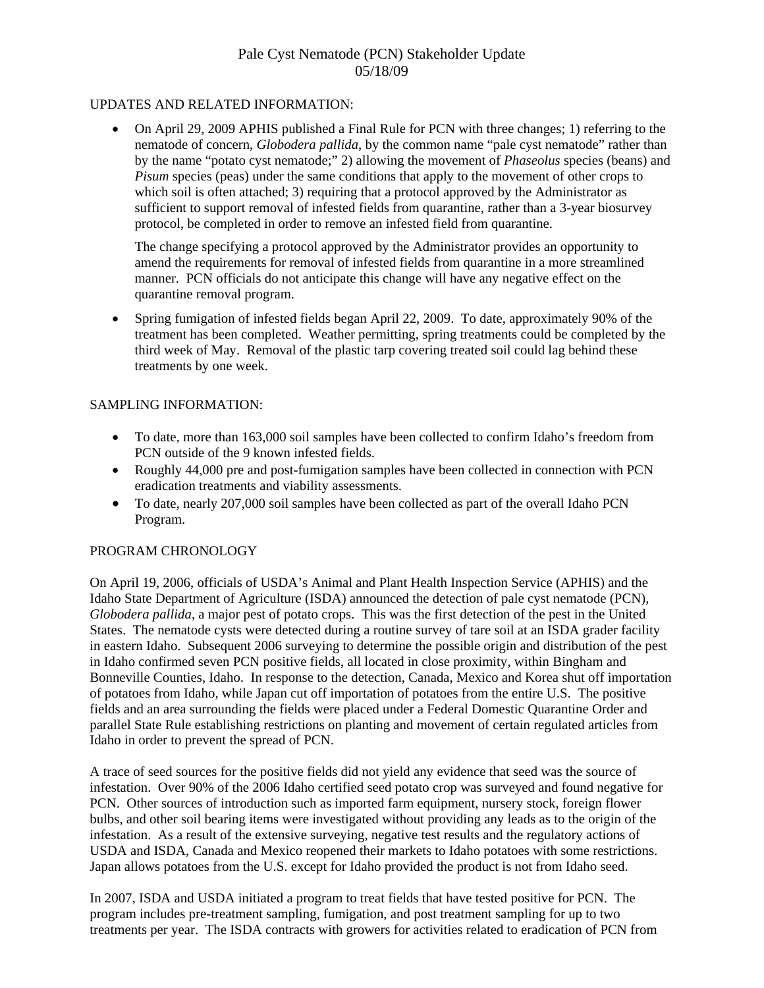# Pale Cyst Nematode (PCN) Stakeholder Update 05/18/09

### UPDATES AND RELATED INFORMATION:

• On April 29, 2009 APHIS published a Final Rule for PCN with three changes; 1) referring to the nematode of concern, *Globodera pallida*, by the common name "pale cyst nematode" rather than by the name "potato cyst nematode;" 2) allowing the movement of *Phaseolus* species (beans) and *Pisum* species (peas) under the same conditions that apply to the movement of other crops to which soil is often attached; 3) requiring that a protocol approved by the Administrator as sufficient to support removal of infested fields from quarantine, rather than a 3-year biosurvey protocol, be completed in order to remove an infested field from quarantine.

The change specifying a protocol approved by the Administrator provides an opportunity to amend the requirements for removal of infested fields from quarantine in a more streamlined manner. PCN officials do not anticipate this change will have any negative effect on the quarantine removal program.

• Spring fumigation of infested fields began April 22, 2009. To date, approximately 90% of the treatment has been completed. Weather permitting, spring treatments could be completed by the third week of May. Removal of the plastic tarp covering treated soil could lag behind these treatments by one week.

### SAMPLING INFORMATION:

- To date, more than 163,000 soil samples have been collected to confirm Idaho's freedom from PCN outside of the 9 known infested fields.
- Roughly 44,000 pre and post-fumigation samples have been collected in connection with PCN eradication treatments and viability assessments.
- To date, nearly 207,000 soil samples have been collected as part of the overall Idaho PCN Program.

#### PROGRAM CHRONOLOGY

On April 19, 2006, officials of USDA's Animal and Plant Health Inspection Service (APHIS) and the Idaho State Department of Agriculture (ISDA) announced the detection of pale cyst nematode (PCN), *Globodera pallida*, a major pest of potato crops. This was the first detection of the pest in the United States. The nematode cysts were detected during a routine survey of tare soil at an ISDA grader facility in eastern Idaho. Subsequent 2006 surveying to determine the possible origin and distribution of the pest in Idaho confirmed seven PCN positive fields, all located in close proximity, within Bingham and Bonneville Counties, Idaho. In response to the detection, Canada, Mexico and Korea shut off importation of potatoes from Idaho, while Japan cut off importation of potatoes from the entire U.S. The positive fields and an area surrounding the fields were placed under a Federal Domestic Quarantine Order and parallel State Rule establishing restrictions on planting and movement of certain regulated articles from Idaho in order to prevent the spread of PCN.

A trace of seed sources for the positive fields did not yield any evidence that seed was the source of infestation. Over 90% of the 2006 Idaho certified seed potato crop was surveyed and found negative for PCN. Other sources of introduction such as imported farm equipment, nursery stock, foreign flower bulbs, and other soil bearing items were investigated without providing any leads as to the origin of the infestation. As a result of the extensive surveying, negative test results and the regulatory actions of USDA and ISDA, Canada and Mexico reopened their markets to Idaho potatoes with some restrictions. Japan allows potatoes from the U.S. except for Idaho provided the product is not from Idaho seed.

In 2007, ISDA and USDA initiated a program to treat fields that have tested positive for PCN. The program includes pre-treatment sampling, fumigation, and post treatment sampling for up to two treatments per year. The ISDA contracts with growers for activities related to eradication of PCN from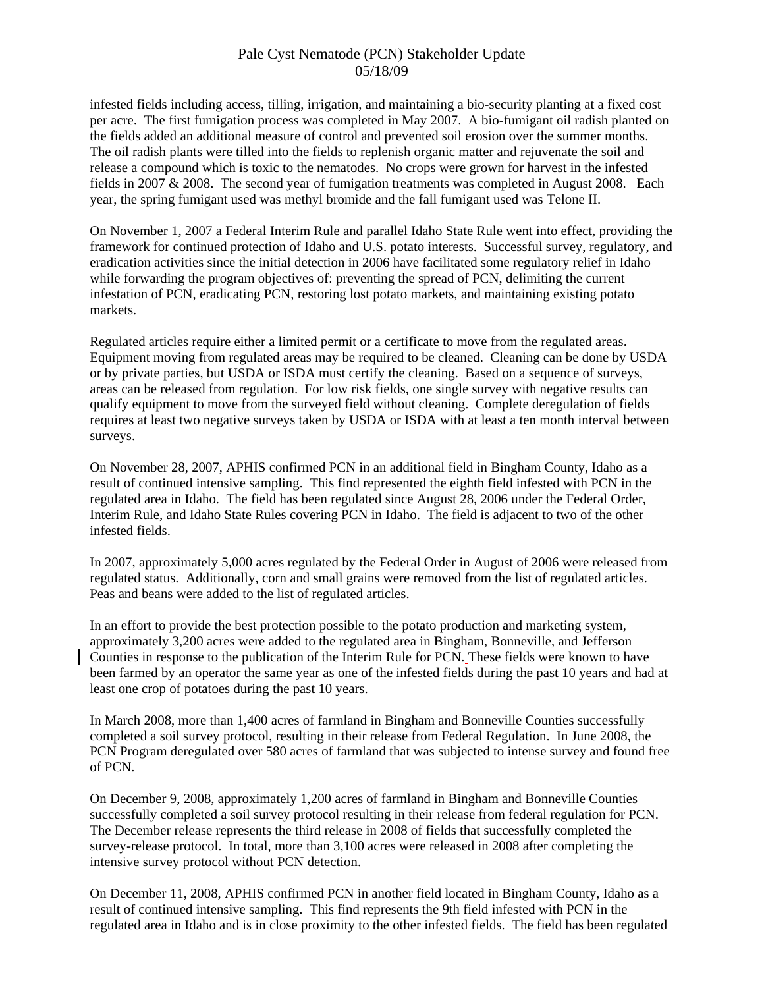## Pale Cyst Nematode (PCN) Stakeholder Update 05/18/09

infested fields including access, tilling, irrigation, and maintaining a bio-security planting at a fixed cost per acre. The first fumigation process was completed in May 2007. A bio-fumigant oil radish planted on the fields added an additional measure of control and prevented soil erosion over the summer months. The oil radish plants were tilled into the fields to replenish organic matter and rejuvenate the soil and release a compound which is toxic to the nematodes. No crops were grown for harvest in the infested fields in 2007 & 2008. The second year of fumigation treatments was completed in August 2008. Each year, the spring fumigant used was methyl bromide and the fall fumigant used was Telone II.

On November 1, 2007 a Federal Interim Rule and parallel Idaho State Rule went into effect, providing the framework for continued protection of Idaho and U.S. potato interests. Successful survey, regulatory, and eradication activities since the initial detection in 2006 have facilitated some regulatory relief in Idaho while forwarding the program objectives of: preventing the spread of PCN, delimiting the current infestation of PCN, eradicating PCN, restoring lost potato markets, and maintaining existing potato markets.

Regulated articles require either a limited permit or a certificate to move from the regulated areas. Equipment moving from regulated areas may be required to be cleaned. Cleaning can be done by USDA or by private parties, but USDA or ISDA must certify the cleaning. Based on a sequence of surveys, areas can be released from regulation. For low risk fields, one single survey with negative results can qualify equipment to move from the surveyed field without cleaning. Complete deregulation of fields requires at least two negative surveys taken by USDA or ISDA with at least a ten month interval between surveys.

On November 28, 2007, APHIS confirmed PCN in an additional field in Bingham County, Idaho as a result of continued intensive sampling. This find represented the eighth field infested with PCN in the regulated area in Idaho. The field has been regulated since August 28, 2006 under the Federal Order, Interim Rule, and Idaho State Rules covering PCN in Idaho. The field is adjacent to two of the other infested fields.

In 2007, approximately 5,000 acres regulated by the Federal Order in August of 2006 were released from regulated status. Additionally, corn and small grains were removed from the list of regulated articles. Peas and beans were added to the list of regulated articles.

In an effort to provide the best protection possible to the potato production and marketing system, approximately 3,200 acres were added to the regulated area in Bingham, Bonneville, and Jefferson Counties in response to the publication of the Interim Rule for PCN. These fields were known to have been farmed by an operator the same year as one of the infested fields during the past 10 years and had at least one crop of potatoes during the past 10 years.

In March 2008, more than 1,400 acres of farmland in Bingham and Bonneville Counties successfully completed a soil survey protocol, resulting in their release from Federal Regulation. In June 2008, the PCN Program deregulated over 580 acres of farmland that was subjected to intense survey and found free of PCN.

On December 9, 2008, approximately 1,200 acres of farmland in Bingham and Bonneville Counties successfully completed a soil survey protocol resulting in their release from federal regulation for PCN. The December release represents the third release in 2008 of fields that successfully completed the survey-release protocol. In total, more than 3,100 acres were released in 2008 after completing the intensive survey protocol without PCN detection.

On December 11, 2008, APHIS confirmed PCN in another field located in Bingham County, Idaho as a result of continued intensive sampling. This find represents the 9th field infested with PCN in the regulated area in Idaho and is in close proximity to the other infested fields. The field has been regulated